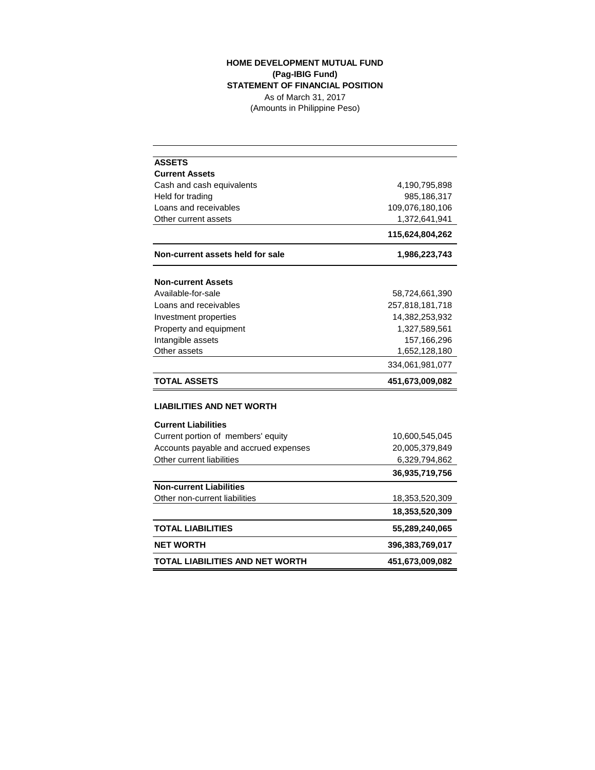## **HOME DEVELOPMENT MUTUAL FUND (Pag-IBIG Fund) STATEMENT OF FINANCIAL POSITION** As of March 31, 2017

(Amounts in Philippine Peso)

| <b>ASSETS</b>                         |                 |
|---------------------------------------|-----------------|
| <b>Current Assets</b>                 |                 |
| Cash and cash equivalents             | 4,190,795,898   |
| Held for trading                      | 985,186,317     |
| Loans and receivables                 | 109,076,180,106 |
| Other current assets                  | 1,372,641,941   |
|                                       | 115,624,804,262 |
| Non-current assets held for sale      | 1,986,223,743   |
| <b>Non-current Assets</b>             |                 |
| Available-for-sale                    | 58,724,661,390  |
| Loans and receivables                 | 257,818,181,718 |
| Investment properties                 | 14,382,253,932  |
| Property and equipment                | 1,327,589,561   |
| Intangible assets                     | 157,166,296     |
| Other assets                          | 1,652,128,180   |
|                                       | 334,061,981,077 |
| <b>TOTAL ASSETS</b>                   | 451,673,009,082 |
| <b>LIABILITIES AND NET WORTH</b>      |                 |
| <b>Current Liabilities</b>            |                 |
| Current portion of members' equity    | 10,600,545,045  |
| Accounts payable and accrued expenses | 20,005,379,849  |
| Other current liabilities             | 6,329,794,862   |
|                                       | 36,935,719,756  |
| <b>Non-current Liabilities</b>        |                 |
| Other non-current liabilities         | 18,353,520,309  |
|                                       | 18,353,520,309  |
| <b>TOTAL LIABILITIES</b>              | 55,289,240,065  |
| <b>NET WORTH</b>                      | 396,383,769,017 |
| TOTAL LIABILITIES AND NET WORTH       | 451,673,009,082 |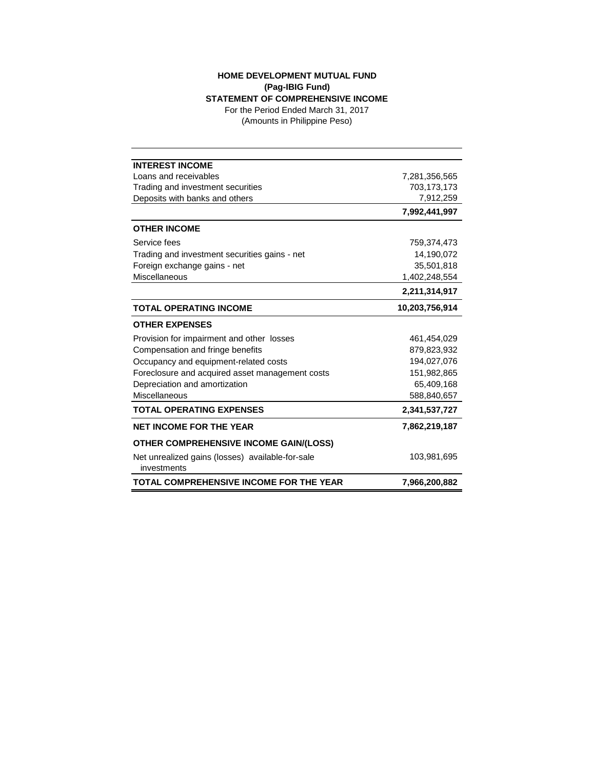## **HOME DEVELOPMENT MUTUAL FUND (Pag-IBIG Fund) STATEMENT OF COMPREHENSIVE INCOME**

(Amounts in Philippine Peso) For the Period Ended March 31, 2017

| <b>INTEREST INCOME</b>                           |                |
|--------------------------------------------------|----------------|
| Loans and receivables                            | 7,281,356,565  |
| Trading and investment securities                | 703,173,173    |
| Deposits with banks and others                   | 7,912,259      |
|                                                  | 7,992,441,997  |
| <b>OTHER INCOME</b>                              |                |
| Service fees                                     | 759,374,473    |
| Trading and investment securities gains - net    | 14,190,072     |
| Foreign exchange gains - net                     | 35,501,818     |
| Miscellaneous                                    | 1,402,248,554  |
|                                                  | 2,211,314,917  |
| <b>TOTAL OPERATING INCOME</b>                    | 10,203,756,914 |
| <b>OTHER EXPENSES</b>                            |                |
| Provision for impairment and other losses        | 461,454,029    |
| Compensation and fringe benefits                 | 879,823,932    |
| Occupancy and equipment-related costs            | 194,027,076    |
| Foreclosure and acquired asset management costs  | 151,982,865    |
| Depreciation and amortization                    | 65,409,168     |
| Miscellaneous                                    | 588,840,657    |
| <b>TOTAL OPERATING EXPENSES</b>                  | 2,341,537,727  |
| <b>NET INCOME FOR THE YEAR</b>                   | 7,862,219,187  |
| OTHER COMPREHENSIVE INCOME GAIN/(LOSS)           |                |
| Net unrealized gains (losses) available-for-sale | 103,981,695    |
| investments                                      |                |
| <b>TOTAL COMPREHENSIVE INCOME FOR THE YEAR</b>   | 7,966,200,882  |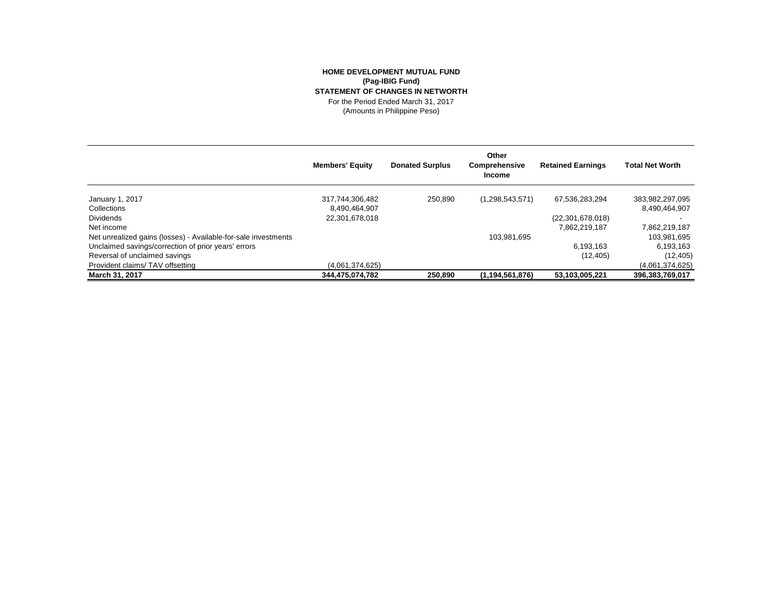## **HOME DEVELOPMENT MUTUAL FUND (Pag-IBIG Fund) STATEMENT OF CHANGES IN NETWORTH** For the Period Ended March 31, 2017

(Amounts in Philippine Peso)

|                                                                | <b>Members' Equity</b> | <b>Donated Surplus</b> | Other<br>Comprehensive<br><b>Income</b> | <b>Retained Earnings</b> | <b>Total Net Worth</b> |
|----------------------------------------------------------------|------------------------|------------------------|-----------------------------------------|--------------------------|------------------------|
| January 1, 2017                                                | 317,744,306,482        | 250.890                | (1,298,543,571)                         | 67,536,283,294           | 383,982,297,095        |
| Collections                                                    | 8,490,464,907          |                        |                                         |                          | 8.490.464.907          |
| <b>Dividends</b>                                               | 22,301,678,018         |                        |                                         | (22, 301, 678, 018)      |                        |
| Net income                                                     |                        |                        |                                         | 7,862,219,187            | 7,862,219,187          |
| Net unrealized gains (losses) - Available-for-sale investments |                        |                        | 103,981,695                             |                          | 103,981,695            |
| Unclaimed savings/correction of prior years' errors            |                        |                        |                                         | 6.193.163                | 6,193,163              |
| Reversal of unclaimed savings                                  |                        |                        |                                         | (12, 405)                | (12, 405)              |
| Provident claims/TAV offsetting                                | (4.061.374.625)        |                        |                                         |                          | (4,061,374,625)        |
| March 31, 2017                                                 | 344,475,074,782        | 250,890                | (1, 194, 561, 876)                      | 53,103,005,221           | 396,383,769,017        |